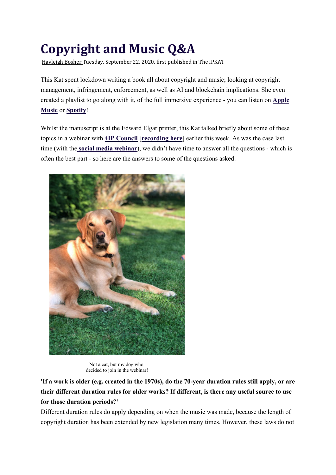# **Copyright and Music Q&A**

Hayleigh Bosher Tuesday, September 22, 2020, first published in The IPKAT

This Kat spent lockdown writing a book all about copyright and music; looking at copyright management, infringement, enforcement, as well as AI and blockchain implications. She even created a playlist to go along with it, of the full immersive experience - you can listen on **Apple Music** or **Spotify**!

Whilst the manuscript is at the Edward Elgar printer, this Kat talked briefly about some of these topics in a webinar with **4IP Council** [**recording here**] earlier this week. As was the case last time (with the **social media webinar**), we didn't have time to answer all the questions - which is often the best part - so here are the answers to some of the questions asked:



Not a cat, but my dog who decided to join in the webinar!

**'If a work is older (e.g. created in the 1970s), do the 70-year duration rules still apply, or are their different duration rules for older works? If different, is there any useful source to use for those duration periods?'**

Different duration rules do apply depending on when the music was made, because the length of copyright duration has been extended by new legislation many times. However, these laws do not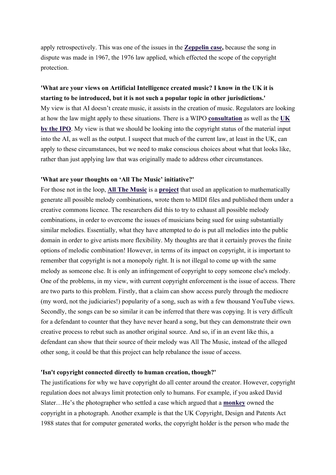apply retrospectively. This was one of the issues in the **Zeppelin case,** because the song in dispute was made in 1967, the 1976 law applied, which effected the scope of the copyright protection.

## **'What are your views on Artificial Intelligence created music? I know in the UK it is starting to be introduced, but it is not such a popular topic in other jurisdictions.'**

My view is that AI doesn't create music, it assists in the creation of music. Regulators are looking at how the law might apply to these situations. There is a WIPO **consultation** as well as the **UK by the IPO**. My view is that we should be looking into the copyright status of the material input into the AI, as well as the output. I suspect that much of the current law, at least in the UK, can apply to these circumstances, but we need to make conscious choices about what that looks like, rather than just applying law that was originally made to address other circumstances.

#### **'What are your thoughts on 'All The Music' initiative?'**

For those not in the loop, **All The Music** is a **project** that used an application to mathematically generate all possible melody combinations, wrote them to MIDI files and published them under a creative commons licence. The researchers did this to try to exhaust all possible melody combinations, in order to overcome the issues of musicians being sued for using substantially similar melodies. Essentially, what they have attempted to do is put all melodies into the public domain in order to give artists more flexibility. My thoughts are that it certainly proves the finite options of melodic combination! However, in terms of its impact on copyright, it is important to remember that copyright is not a monopoly right. It is not illegal to come up with the same melody as someone else. It is only an infringement of copyright to copy someone else's melody. One of the problems, in my view, with current copyright enforcement is the issue of access. There are two parts to this problem. Firstly, that a claim can show access purely through the mediocre (my word, not the judiciaries!) popularity of a song, such as with a few thousand YouTube views. Secondly, the songs can be so similar it can be inferred that there was copying. It is very difficult for a defendant to counter that they have never heard a song, but they can demonstrate their own creative process to rebut such as another original source. And so, if in an event like this, a defendant can show that their source of their melody was All The Music, instead of the alleged other song, it could be that this project can help rebalance the issue of access.

#### **'Isn't copyright connected directly to human creation, though?'**

The justifications for why we have copyright do all center around the creator. However, copyright regulation does not always limit protection only to humans. For example, if you asked David Slater…He's the photographer who settled a case which argued that a **monkey** owned the copyright in a photograph. Another example is that the UK Copyright, Design and Patents Act 1988 states that for computer generated works, the copyright holder is the person who made the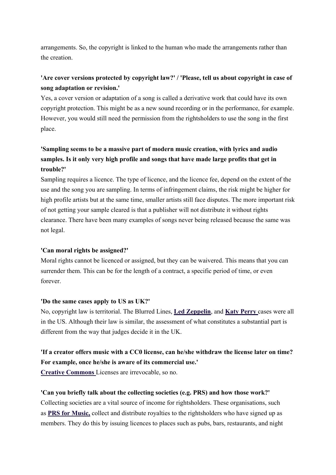arrangements. So, the copyright is linked to the human who made the arrangements rather than the creation.

# **'Are cover versions protected by copyright law?' / 'Please, tell us about copyright in case of song adaptation or revision.'**

Yes, a cover version or adaptation of a song is called a derivative work that could have its own copyright protection. This might be as a new sound recording or in the performance, for example. However, you would still need the permission from the rightsholders to use the song in the first place.

# **'Sampling seems to be a massive part of modern music creation, with lyrics and audio samples. Is it only very high profile and songs that have made large profits that get in trouble?'**

Sampling requires a licence. The type of licence, and the licence fee, depend on the extent of the use and the song you are sampling. In terms of infringement claims, the risk might be higher for high profile artists but at the same time, smaller artists still face disputes. The more important risk of not getting your sample cleared is that a publisher will not distribute it without rights clearance. There have been many examples of songs never being released because the same was not legal.

## **'Can moral rights be assigned?'**

Moral rights cannot be licenced or assigned, but they can be waivered. This means that you can surrender them. This can be for the length of a contract, a specific period of time, or even forever.

#### **'Do the same cases apply to US as UK?'**

No, copyright law is territorial. The Blurred Lines, **Led Zeppelin**, and **Katy Perry** cases were all in the US. Although their law is similar, the assessment of what constitutes a substantial part is different from the way that judges decide it in the UK.

# **'If a creator offers music with a CC0 license, can he/she withdraw the license later on time? For example, once he/she is aware of its commercial use.'**

**Creative Commons** Licenses are irrevocable, so no.

## **'Can you briefly talk about the collecting societies (e.g. PRS) and how those work?'**

Collecting societies are a vital source of income for rightsholders. These organisations, such as **PRS for Music,** collect and distribute royalties to the rightsholders who have signed up as members. They do this by issuing licences to places such as pubs, bars, restaurants, and night